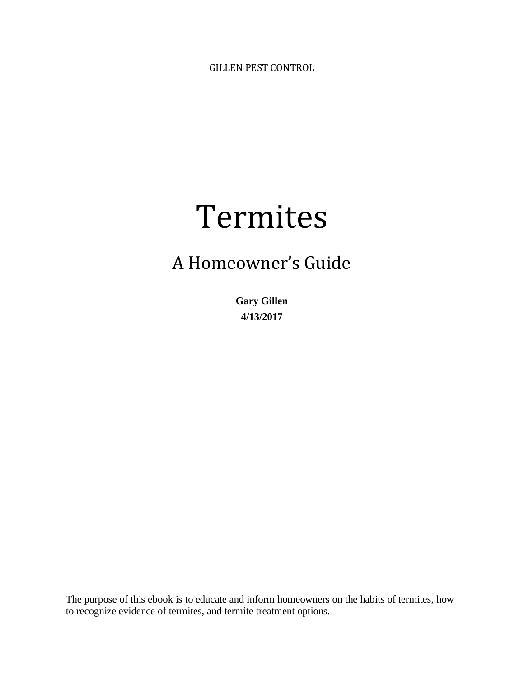GILLEN PEST CONTROL

# Termites

# A Homeowner's Guide

**Gary Gillen 4/13/2017**

The purpose of this ebook is to educate and inform homeowners on the habits of termites, how to recognize evidence of termites, and termite treatment options.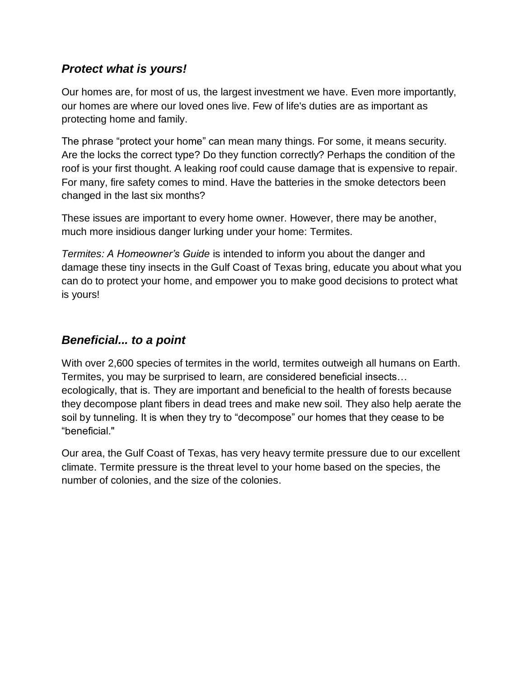# *Protect what is yours!*

Our homes are, for most of us, the largest investment we have. Even more importantly, our homes are where our loved ones live. Few of life's duties are as important as protecting home and family.

The phrase "protect your home" can mean many things. For some, it means security. Are the locks the correct type? Do they function correctly? Perhaps the condition of the roof is your first thought. A leaking roof could cause damage that is expensive to repair. For many, fire safety comes to mind. Have the batteries in the smoke detectors been changed in the last six months?

These issues are important to every home owner. However, there may be another, much more insidious danger lurking under your home: Termites.

*Termites: A Homeowner's Guide* is intended to inform you about the danger and damage these tiny insects in the Gulf Coast of Texas bring, educate you about what you can do to protect your home, and empower you to make good decisions to protect what is yours!

# *Beneficial... to a point*

With over 2,600 species of termites in the world, termites outweigh all humans on Earth. Termites, you may be surprised to learn, are considered beneficial insects… ecologically, that is. They are important and beneficial to the health of forests because they decompose plant fibers in dead trees and make new soil. They also help aerate the soil by tunneling. It is when they try to "decompose" our homes that they cease to be "beneficial."

Our area, the Gulf Coast of Texas, has very heavy termite pressure due to our excellent climate. Termite pressure is the threat level to your home based on the species, the number of colonies, and the size of the colonies.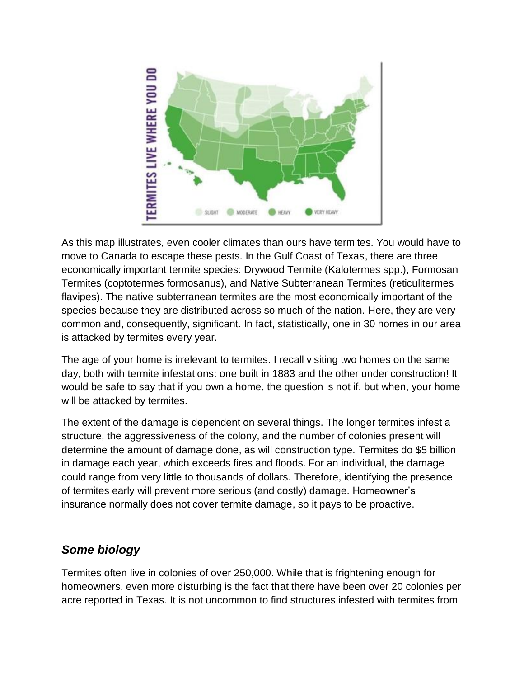

As this map illustrates, even cooler climates than ours have termites. You would have to move to Canada to escape these pests. In the Gulf Coast of Texas, there are three economically important termite species: Drywood Termite (Kalotermes spp.), Formosan Termites (coptotermes formosanus), and Native Subterranean Termites (reticulitermes flavipes). The native subterranean termites are the most economically important of the species because they are distributed across so much of the nation. Here, they are very common and, consequently, significant. In fact, statistically, one in 30 homes in our area is attacked by termites every year.

The age of your home is irrelevant to termites. I recall visiting two homes on the same day, both with termite infestations: one built in 1883 and the other under construction! It would be safe to say that if you own a home, the question is not if, but when, your home will be attacked by termites.

The extent of the damage is dependent on several things. The longer termites infest a structure, the aggressiveness of the colony, and the number of colonies present will determine the amount of damage done, as will construction type. Termites do \$5 billion in damage each year, which exceeds fires and floods. For an individual, the damage could range from very little to thousands of dollars. Therefore, identifying the presence of termites early will prevent more serious (and costly) damage. Homeowner's insurance normally does not cover termite damage, so it pays to be proactive.

# *Some biology*

Termites often live in colonies of over 250,000. While that is frightening enough for homeowners, even more disturbing is the fact that there have been over 20 colonies per acre reported in Texas. It is not uncommon to find structures infested with termites from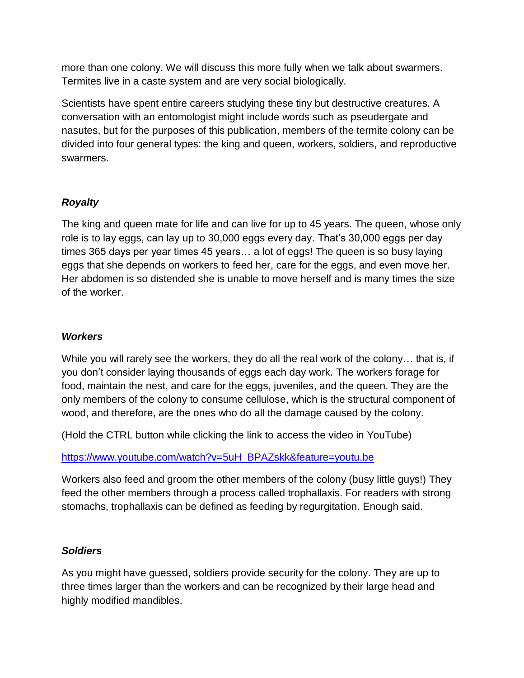more than one colony. We will discuss this more fully when we talk about swarmers. Termites live in a caste system and are very social biologically.

Scientists have spent entire careers studying these tiny but destructive creatures. A conversation with an entomologist might include words such as pseudergate and nasutes, but for the purposes of this publication, members of the termite colony can be divided into four general types: the king and queen, workers, soldiers, and reproductive swarmers.

#### *Royalty*

The king and queen mate for life and can live for up to 45 years. The queen, whose only role is to lay eggs, can lay up to 30,000 eggs every day. That's 30,000 eggs per day times 365 days per year times 45 years… a lot of eggs! The queen is so busy laying eggs that she depends on workers to feed her, care for the eggs, and even move her. Her abdomen is so distended she is unable to move herself and is many times the size of the worker.

#### *Workers*

While you will rarely see the workers, they do all the real work of the colony… that is, if you don't consider laying thousands of eggs each day work. The workers forage for food, maintain the nest, and care for the eggs, juveniles, and the queen. They are the only members of the colony to consume cellulose, which is the structural component of wood, and therefore, are the ones who do all the damage caused by the colony.

(Hold the CTRL button while clicking the link to access the video in YouTube)

[https://www.youtube.com/watch?v=5uH\\_BPAZskk&feature=youtu.be](https://www.youtube.com/watch?v=5uH_BPAZskk&feature=youtu.be)

Workers also feed and groom the other members of the colony (busy little guys!) They feed the other members through a process called trophallaxis. For readers with strong stomachs, trophallaxis can be defined as feeding by regurgitation. Enough said.

#### *Soldiers*

As you might have guessed, soldiers provide security for the colony. They are up to three times larger than the workers and can be recognized by their large head and highly modified mandibles.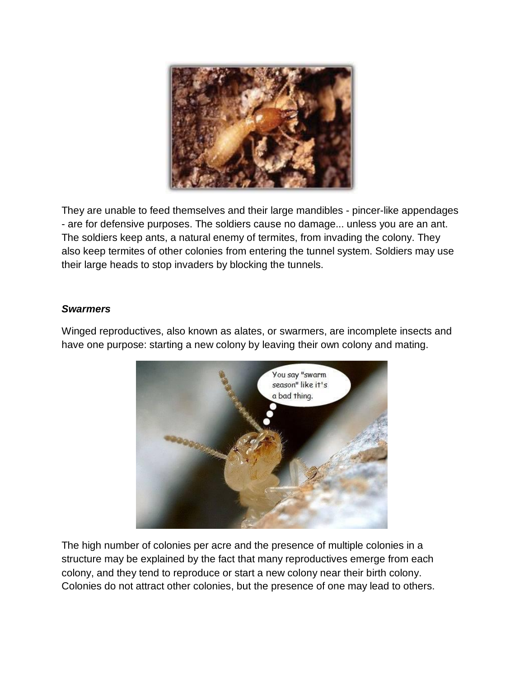

They are unable to feed themselves and their large mandibles - pincer-like appendages - are for defensive purposes. The soldiers cause no damage... unless you are an ant. The soldiers keep ants, a natural enemy of termites, from invading the colony. They also keep termites of other colonies from entering the tunnel system. Soldiers may use their large heads to stop invaders by blocking the tunnels.

#### *Swarmers*

Winged reproductives, also known as alates, or swarmers, are incomplete insects and have one purpose: starting a new colony by leaving their own colony and mating.



The high number of colonies per acre and the presence of multiple colonies in a structure may be explained by the fact that many reproductives emerge from each colony, and they tend to reproduce or start a new colony near their birth colony. Colonies do not attract other colonies, but the presence of one may lead to others.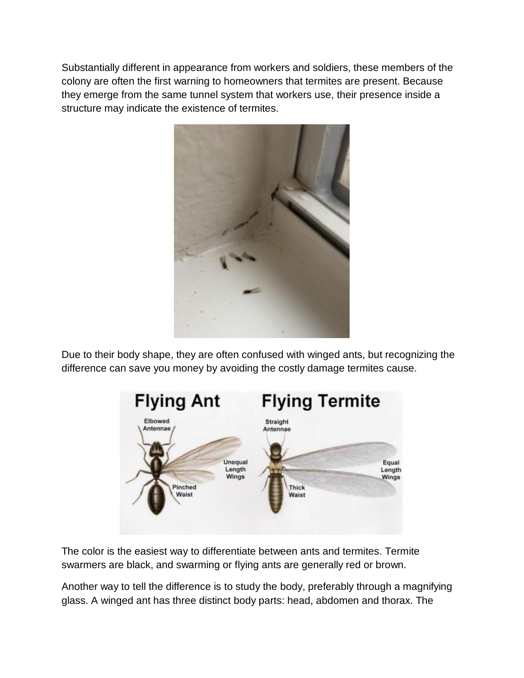Substantially different in appearance from workers and soldiers, these members of the colony are often the first warning to homeowners that termites are present. Because they emerge from the same tunnel system that workers use, their presence inside a structure may indicate the existence of termites.



Due to their body shape, they are often confused with winged ants, but recognizing the difference can save you money by avoiding the costly damage termites cause.



The color is the easiest way to differentiate between ants and termites. Termite swarmers are black, and swarming or flying ants are generally red or brown.

Another way to tell the difference is to study the body, preferably through a magnifying glass. A winged ant has three distinct body parts: head, abdomen and thorax. The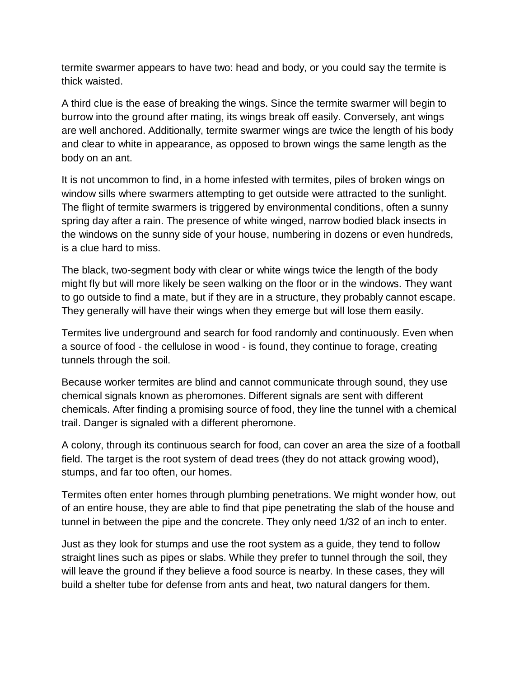termite swarmer appears to have two: head and body, or you could say the termite is thick waisted.

A third clue is the ease of breaking the wings. Since the termite swarmer will begin to burrow into the ground after mating, its wings break off easily. Conversely, ant wings are well anchored. Additionally, termite swarmer wings are twice the length of his body and clear to white in appearance, as opposed to brown wings the same length as the body on an ant.

It is not uncommon to find, in a home infested with termites, piles of broken wings on window sills where swarmers attempting to get outside were attracted to the sunlight. The flight of termite swarmers is triggered by environmental conditions, often a sunny spring day after a rain. The presence of white winged, narrow bodied black insects in the windows on the sunny side of your house, numbering in dozens or even hundreds, is a clue hard to miss.

The black, two-segment body with clear or white wings twice the length of the body might fly but will more likely be seen walking on the floor or in the windows. They want to go outside to find a mate, but if they are in a structure, they probably cannot escape. They generally will have their wings when they emerge but will lose them easily.

Termites live underground and search for food randomly and continuously. Even when a source of food - the cellulose in wood - is found, they continue to forage, creating tunnels through the soil.

Because worker termites are blind and cannot communicate through sound, they use chemical signals known as pheromones. Different signals are sent with different chemicals. After finding a promising source of food, they line the tunnel with a chemical trail. Danger is signaled with a different pheromone.

A colony, through its continuous search for food, can cover an area the size of a football field. The target is the root system of dead trees (they do not attack growing wood), stumps, and far too often, our homes.

Termites often enter homes through plumbing penetrations. We might wonder how, out of an entire house, they are able to find that pipe penetrating the slab of the house and tunnel in between the pipe and the concrete. They only need 1/32 of an inch to enter.

Just as they look for stumps and use the root system as a guide, they tend to follow straight lines such as pipes or slabs. While they prefer to tunnel through the soil, they will leave the ground if they believe a food source is nearby. In these cases, they will build a shelter tube for defense from ants and heat, two natural dangers for them.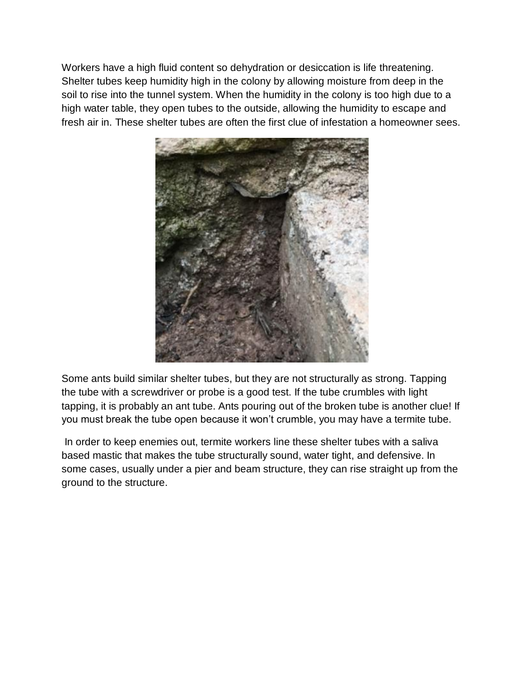Workers have a high fluid content so dehydration or desiccation is life threatening. Shelter tubes keep humidity high in the colony by allowing moisture from deep in the soil to rise into the tunnel system. When the humidity in the colony is too high due to a high water table, they open tubes to the outside, allowing the humidity to escape and fresh air in. These shelter tubes are often the first clue of infestation a homeowner sees.



Some ants build similar shelter tubes, but they are not structurally as strong. Tapping the tube with a screwdriver or probe is a good test. If the tube crumbles with light tapping, it is probably an ant tube. Ants pouring out of the broken tube is another clue! If you must break the tube open because it won't crumble, you may have a termite tube.

In order to keep enemies out, termite workers line these shelter tubes with a saliva based mastic that makes the tube structurally sound, water tight, and defensive. In some cases, usually under a pier and beam structure, they can rise straight up from the ground to the structure.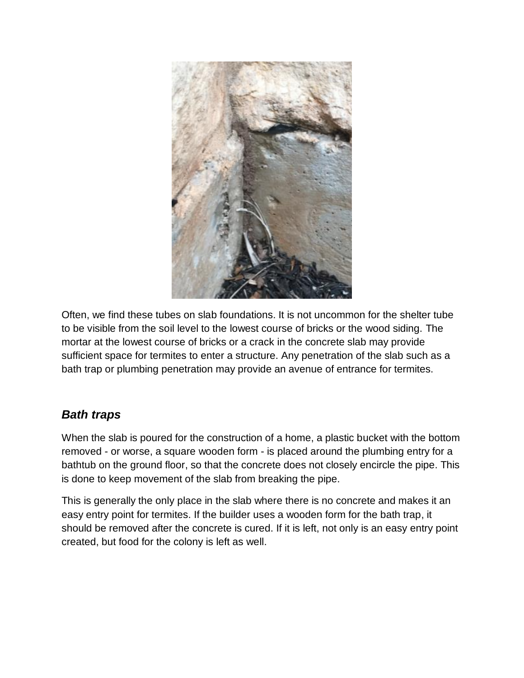

Often, we find these tubes on slab foundations. It is not uncommon for the shelter tube to be visible from the soil level to the lowest course of bricks or the wood siding. The mortar at the lowest course of bricks or a crack in the concrete slab may provide sufficient space for termites to enter a structure. Any penetration of the slab such as a bath trap or plumbing penetration may provide an avenue of entrance for termites.

# *Bath traps*

When the slab is poured for the construction of a home, a plastic bucket with the bottom removed - or worse, a square wooden form - is placed around the plumbing entry for a bathtub on the ground floor, so that the concrete does not closely encircle the pipe. This is done to keep movement of the slab from breaking the pipe.

This is generally the only place in the slab where there is no concrete and makes it an easy entry point for termites. If the builder uses a wooden form for the bath trap, it should be removed after the concrete is cured. If it is left, not only is an easy entry point created, but food for the colony is left as well.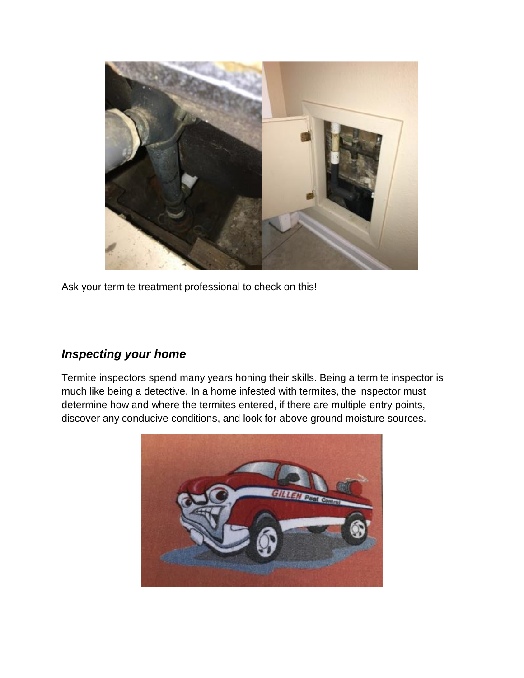

Ask your termite treatment professional to check on this!

# *Inspecting your home*

Termite inspectors spend many years honing their skills. Being a termite inspector is much like being a detective. In a home infested with termites, the inspector must determine how and where the termites entered, if there are multiple entry points, discover any conducive conditions, and look for above ground moisture sources.

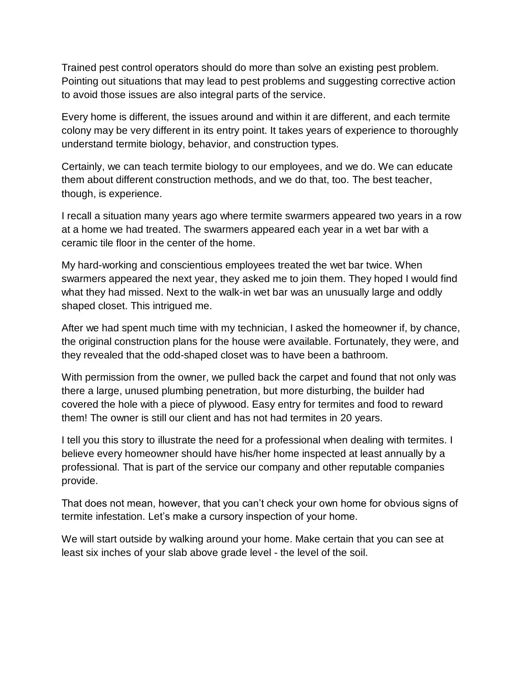Trained pest control operators should do more than solve an existing pest problem. Pointing out situations that may lead to pest problems and suggesting corrective action to avoid those issues are also integral parts of the service.

Every home is different, the issues around and within it are different, and each termite colony may be very different in its entry point. It takes years of experience to thoroughly understand termite biology, behavior, and construction types.

Certainly, we can teach termite biology to our employees, and we do. We can educate them about different construction methods, and we do that, too. The best teacher, though, is experience.

I recall a situation many years ago where termite swarmers appeared two years in a row at a home we had treated. The swarmers appeared each year in a wet bar with a ceramic tile floor in the center of the home.

My hard-working and conscientious employees treated the wet bar twice. When swarmers appeared the next year, they asked me to join them. They hoped I would find what they had missed. Next to the walk-in wet bar was an unusually large and oddly shaped closet. This intrigued me.

After we had spent much time with my technician, I asked the homeowner if, by chance, the original construction plans for the house were available. Fortunately, they were, and they revealed that the odd-shaped closet was to have been a bathroom.

With permission from the owner, we pulled back the carpet and found that not only was there a large, unused plumbing penetration, but more disturbing, the builder had covered the hole with a piece of plywood. Easy entry for termites and food to reward them! The owner is still our client and has not had termites in 20 years.

I tell you this story to illustrate the need for a professional when dealing with termites. I believe every homeowner should have his/her home inspected at least annually by a professional. That is part of the service our company and other reputable companies provide.

That does not mean, however, that you can't check your own home for obvious signs of termite infestation. Let's make a cursory inspection of your home.

We will start outside by walking around your home. Make certain that you can see at least six inches of your slab above grade level - the level of the soil.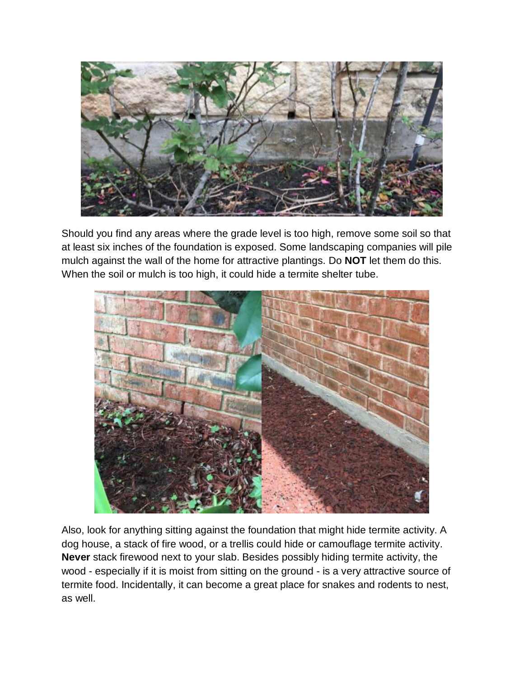

Should you find any areas where the grade level is too high, remove some soil so that at least six inches of the foundation is exposed. Some landscaping companies will pile mulch against the wall of the home for attractive plantings. Do **NOT** let them do this. When the soil or mulch is too high, it could hide a termite shelter tube.



Also, look for anything sitting against the foundation that might hide termite activity. A dog house, a stack of fire wood, or a trellis could hide or camouflage termite activity. **Never** stack firewood next to your slab. Besides possibly hiding termite activity, the wood - especially if it is moist from sitting on the ground - is a very attractive source of termite food. Incidentally, it can become a great place for snakes and rodents to nest, as well.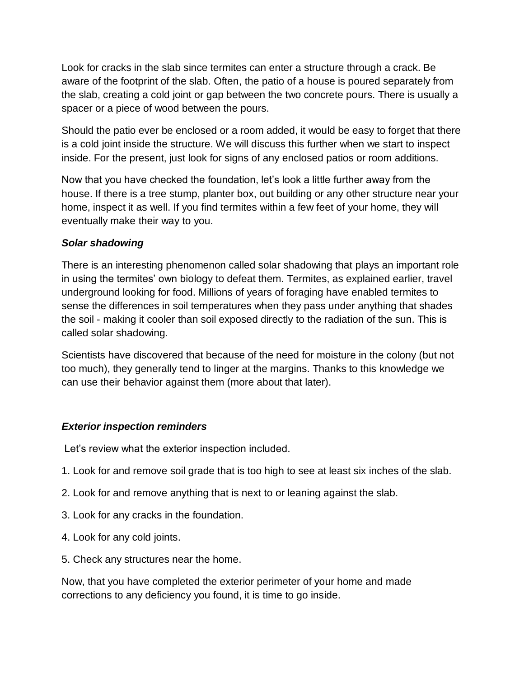Look for cracks in the slab since termites can enter a structure through a crack. Be aware of the footprint of the slab. Often, the patio of a house is poured separately from the slab, creating a cold joint or gap between the two concrete pours. There is usually a spacer or a piece of wood between the pours.

Should the patio ever be enclosed or a room added, it would be easy to forget that there is a cold joint inside the structure. We will discuss this further when we start to inspect inside. For the present, just look for signs of any enclosed patios or room additions.

Now that you have checked the foundation, let's look a little further away from the house. If there is a tree stump, planter box, out building or any other structure near your home, inspect it as well. If you find termites within a few feet of your home, they will eventually make their way to you.

#### *Solar shadowing*

There is an interesting phenomenon called solar shadowing that plays an important role in using the termites' own biology to defeat them. Termites, as explained earlier, travel underground looking for food. Millions of years of foraging have enabled termites to sense the differences in soil temperatures when they pass under anything that shades the soil - making it cooler than soil exposed directly to the radiation of the sun. This is called solar shadowing.

Scientists have discovered that because of the need for moisture in the colony (but not too much), they generally tend to linger at the margins. Thanks to this knowledge we can use their behavior against them (more about that later).

#### *Exterior inspection reminders*

Let's review what the exterior inspection included.

- 1. Look for and remove soil grade that is too high to see at least six inches of the slab.
- 2. Look for and remove anything that is next to or leaning against the slab.
- 3. Look for any cracks in the foundation.
- 4. Look for any cold joints.
- 5. Check any structures near the home.

Now, that you have completed the exterior perimeter of your home and made corrections to any deficiency you found, it is time to go inside.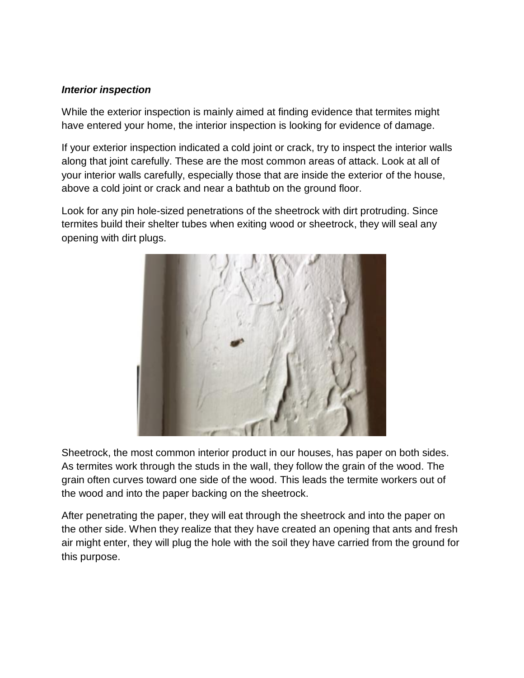#### *Interior inspection*

While the exterior inspection is mainly aimed at finding evidence that termites might have entered your home, the interior inspection is looking for evidence of damage.

If your exterior inspection indicated a cold joint or crack, try to inspect the interior walls along that joint carefully. These are the most common areas of attack. Look at all of your interior walls carefully, especially those that are inside the exterior of the house, above a cold joint or crack and near a bathtub on the ground floor.

Look for any pin hole-sized penetrations of the sheetrock with dirt protruding. Since termites build their shelter tubes when exiting wood or sheetrock, they will seal any opening with dirt plugs.



Sheetrock, the most common interior product in our houses, has paper on both sides. As termites work through the studs in the wall, they follow the grain of the wood. The grain often curves toward one side of the wood. This leads the termite workers out of the wood and into the paper backing on the sheetrock.

After penetrating the paper, they will eat through the sheetrock and into the paper on the other side. When they realize that they have created an opening that ants and fresh air might enter, they will plug the hole with the soil they have carried from the ground for this purpose.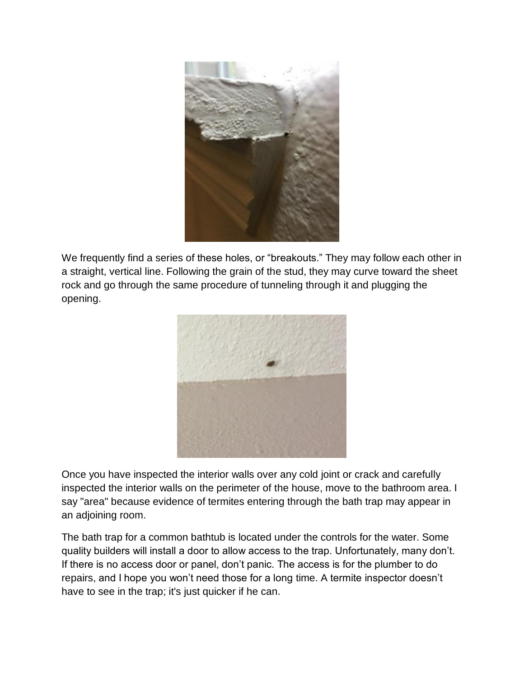

We frequently find a series of these holes, or "breakouts." They may follow each other in a straight, vertical line. Following the grain of the stud, they may curve toward the sheet rock and go through the same procedure of tunneling through it and plugging the opening.



Once you have inspected the interior walls over any cold joint or crack and carefully inspected the interior walls on the perimeter of the house, move to the bathroom area. I say "area" because evidence of termites entering through the bath trap may appear in an adjoining room.

The bath trap for a common bathtub is located under the controls for the water. Some quality builders will install a door to allow access to the trap. Unfortunately, many don't. If there is no access door or panel, don't panic. The access is for the plumber to do repairs, and I hope you won't need those for a long time. A termite inspector doesn't have to see in the trap; it's just quicker if he can.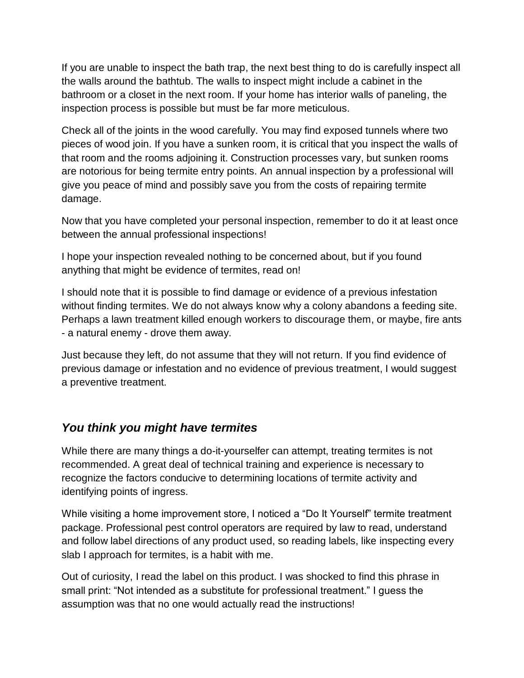If you are unable to inspect the bath trap, the next best thing to do is carefully inspect all the walls around the bathtub. The walls to inspect might include a cabinet in the bathroom or a closet in the next room. If your home has interior walls of paneling, the inspection process is possible but must be far more meticulous.

Check all of the joints in the wood carefully. You may find exposed tunnels where two pieces of wood join. If you have a sunken room, it is critical that you inspect the walls of that room and the rooms adjoining it. Construction processes vary, but sunken rooms are notorious for being termite entry points. An annual inspection by a professional will give you peace of mind and possibly save you from the costs of repairing termite damage.

Now that you have completed your personal inspection, remember to do it at least once between the annual professional inspections!

I hope your inspection revealed nothing to be concerned about, but if you found anything that might be evidence of termites, read on!

I should note that it is possible to find damage or evidence of a previous infestation without finding termites. We do not always know why a colony abandons a feeding site. Perhaps a lawn treatment killed enough workers to discourage them, or maybe, fire ants - a natural enemy - drove them away.

Just because they left, do not assume that they will not return. If you find evidence of previous damage or infestation and no evidence of previous treatment, I would suggest a preventive treatment.

# *You think you might have termites*

While there are many things a do-it-yourselfer can attempt, treating termites is not recommended. A great deal of technical training and experience is necessary to recognize the factors conducive to determining locations of termite activity and identifying points of ingress.

While visiting a home improvement store, I noticed a "Do It Yourself" termite treatment package. Professional pest control operators are required by law to read, understand and follow label directions of any product used, so reading labels, like inspecting every slab I approach for termites, is a habit with me.

Out of curiosity, I read the label on this product. I was shocked to find this phrase in small print: "Not intended as a substitute for professional treatment." I guess the assumption was that no one would actually read the instructions!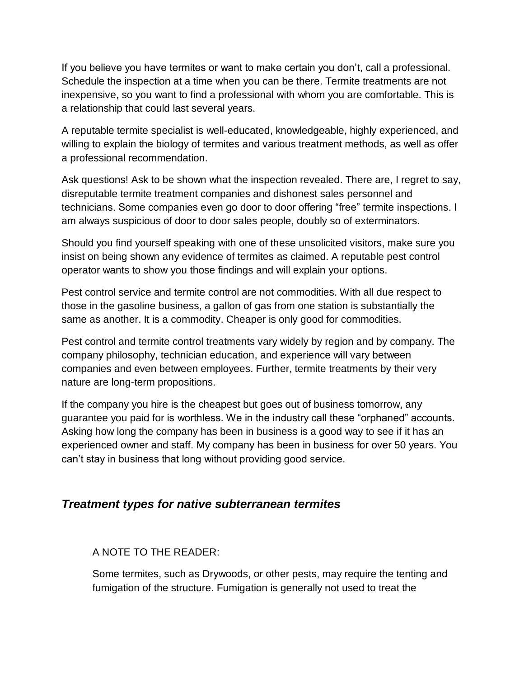If you believe you have termites or want to make certain you don't, call a professional. Schedule the inspection at a time when you can be there. Termite treatments are not inexpensive, so you want to find a professional with whom you are comfortable. This is a relationship that could last several years.

A reputable termite specialist is well-educated, knowledgeable, highly experienced, and willing to explain the biology of termites and various treatment methods, as well as offer a professional recommendation.

Ask questions! Ask to be shown what the inspection revealed. There are, I regret to say, disreputable termite treatment companies and dishonest sales personnel and technicians. Some companies even go door to door offering "free" termite inspections. I am always suspicious of door to door sales people, doubly so of exterminators.

Should you find yourself speaking with one of these unsolicited visitors, make sure you insist on being shown any evidence of termites as claimed. A reputable pest control operator wants to show you those findings and will explain your options.

Pest control service and termite control are not commodities. With all due respect to those in the gasoline business, a gallon of gas from one station is substantially the same as another. It is a commodity. Cheaper is only good for commodities.

Pest control and termite control treatments vary widely by region and by company. The company philosophy, technician education, and experience will vary between companies and even between employees. Further, termite treatments by their very nature are long-term propositions.

If the company you hire is the cheapest but goes out of business tomorrow, any guarantee you paid for is worthless. We in the industry call these "orphaned" accounts. Asking how long the company has been in business is a good way to see if it has an experienced owner and staff. My company has been in business for over 50 years. You can't stay in business that long without providing good service.

# *Treatment types for native subterranean termites*

#### A NOTE TO THE READER:

Some termites, such as Drywoods, or other pests, may require the tenting and fumigation of the structure. Fumigation is generally not used to treat the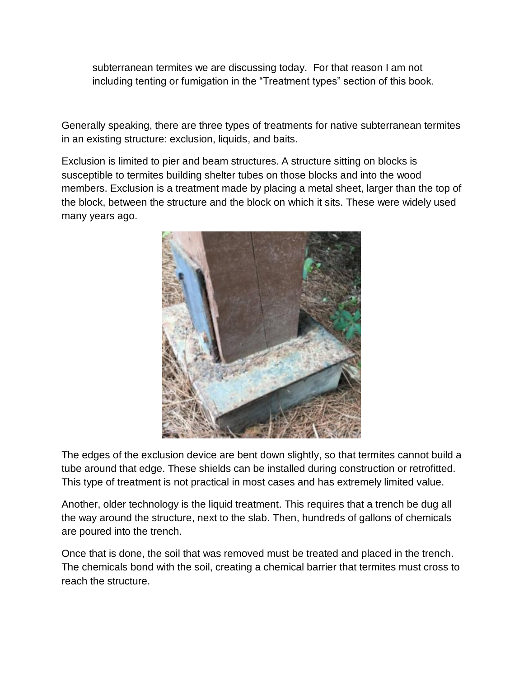subterranean termites we are discussing today. For that reason I am not including tenting or fumigation in the "Treatment types" section of this book.

Generally speaking, there are three types of treatments for native subterranean termites in an existing structure: exclusion, liquids, and baits.

Exclusion is limited to pier and beam structures. A structure sitting on blocks is susceptible to termites building shelter tubes on those blocks and into the wood members. Exclusion is a treatment made by placing a metal sheet, larger than the top of the block, between the structure and the block on which it sits. These were widely used many years ago.



The edges of the exclusion device are bent down slightly, so that termites cannot build a tube around that edge. These shields can be installed during construction or retrofitted. This type of treatment is not practical in most cases and has extremely limited value.

Another, older technology is the liquid treatment. This requires that a trench be dug all the way around the structure, next to the slab. Then, hundreds of gallons of chemicals are poured into the trench.

Once that is done, the soil that was removed must be treated and placed in the trench. The chemicals bond with the soil, creating a chemical barrier that termites must cross to reach the structure.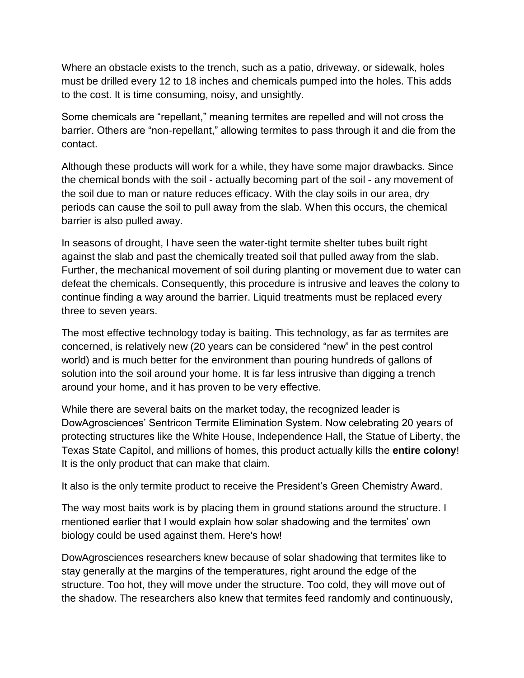Where an obstacle exists to the trench, such as a patio, driveway, or sidewalk, holes must be drilled every 12 to 18 inches and chemicals pumped into the holes. This adds to the cost. It is time consuming, noisy, and unsightly.

Some chemicals are "repellant," meaning termites are repelled and will not cross the barrier. Others are "non-repellant," allowing termites to pass through it and die from the contact.

Although these products will work for a while, they have some major drawbacks. Since the chemical bonds with the soil - actually becoming part of the soil - any movement of the soil due to man or nature reduces efficacy. With the clay soils in our area, dry periods can cause the soil to pull away from the slab. When this occurs, the chemical barrier is also pulled away.

In seasons of drought, I have seen the water-tight termite shelter tubes built right against the slab and past the chemically treated soil that pulled away from the slab. Further, the mechanical movement of soil during planting or movement due to water can defeat the chemicals. Consequently, this procedure is intrusive and leaves the colony to continue finding a way around the barrier. Liquid treatments must be replaced every three to seven years.

The most effective technology today is baiting. This technology, as far as termites are concerned, is relatively new (20 years can be considered "new" in the pest control world) and is much better for the environment than pouring hundreds of gallons of solution into the soil around your home. It is far less intrusive than digging a trench around your home, and it has proven to be very effective.

While there are several baits on the market today, the recognized leader is DowAgrosciences' Sentricon Termite Elimination System. Now celebrating 20 years of protecting structures like the White House, Independence Hall, the Statue of Liberty, the Texas State Capitol, and millions of homes, this product actually kills the **entire colony**! It is the only product that can make that claim.

It also is the only termite product to receive the President's Green Chemistry Award.

The way most baits work is by placing them in ground stations around the structure. I mentioned earlier that I would explain how solar shadowing and the termites' own biology could be used against them. Here's how!

DowAgrosciences researchers knew because of solar shadowing that termites like to stay generally at the margins of the temperatures, right around the edge of the structure. Too hot, they will move under the structure. Too cold, they will move out of the shadow. The researchers also knew that termites feed randomly and continuously,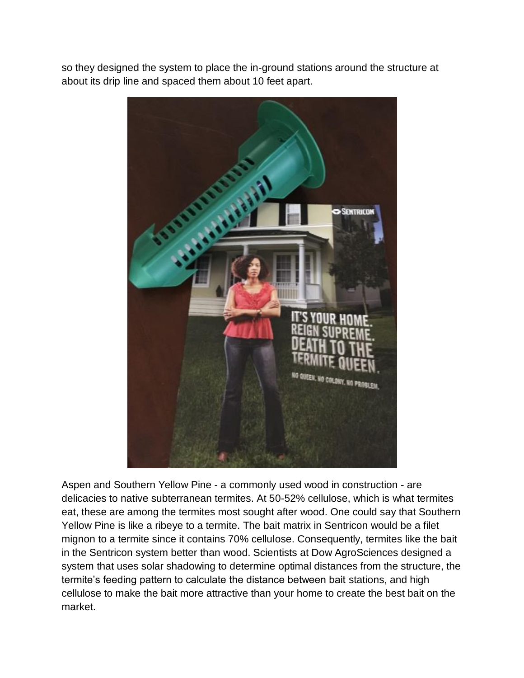so they designed the system to place the in-ground stations around the structure at about its drip line and spaced them about 10 feet apart.



Aspen and Southern Yellow Pine - a commonly used wood in construction - are delicacies to native subterranean termites. At 50-52% cellulose, which is what termites eat, these are among the termites most sought after wood. One could say that Southern Yellow Pine is like a ribeye to a termite. The bait matrix in Sentricon would be a filet mignon to a termite since it contains 70% cellulose. Consequently, termites like the bait in the Sentricon system better than wood. Scientists at Dow AgroSciences designed a system that uses solar shadowing to determine optimal distances from the structure, the termite's feeding pattern to calculate the distance between bait stations, and high cellulose to make the bait more attractive than your home to create the best bait on the market.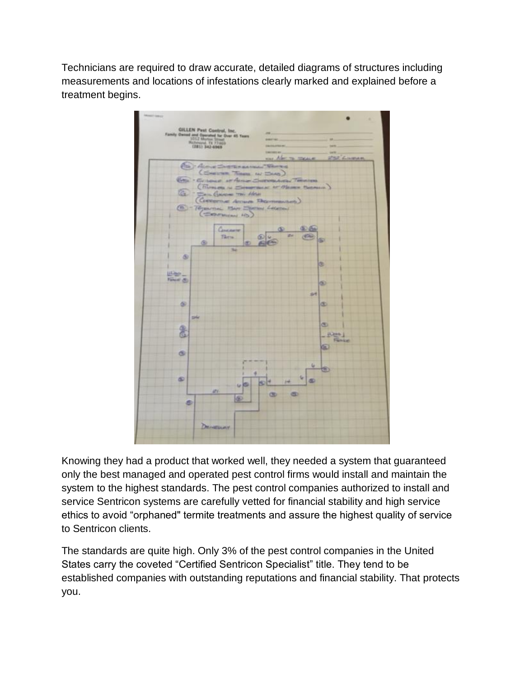Technicians are required to draw accurate, detailed diagrams of structures including measurements and locations of infestations clearly marked and explained before a treatment begins.



Knowing they had a product that worked well, they needed a system that guaranteed only the best managed and operated pest control firms would install and maintain the system to the highest standards. The pest control companies authorized to install and service Sentricon systems are carefully vetted for financial stability and high service ethics to avoid "orphaned" termite treatments and assure the highest quality of service to Sentricon clients.

The standards are quite high. Only 3% of the pest control companies in the United States carry the coveted "Certified Sentricon Specialist" title. They tend to be established companies with outstanding reputations and financial stability. That protects you.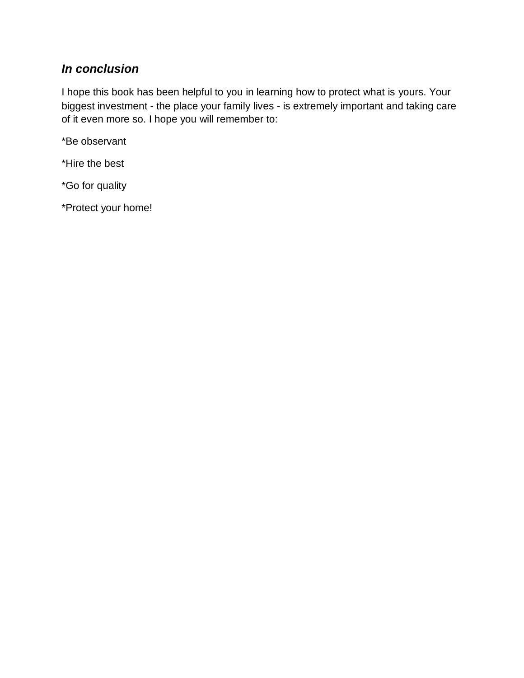# *In conclusion*

I hope this book has been helpful to you in learning how to protect what is yours. Your biggest investment - the place your family lives - is extremely important and taking care of it even more so. I hope you will remember to:

\*Be observant

\*Hire the best

\*Go for quality

\*Protect your home!